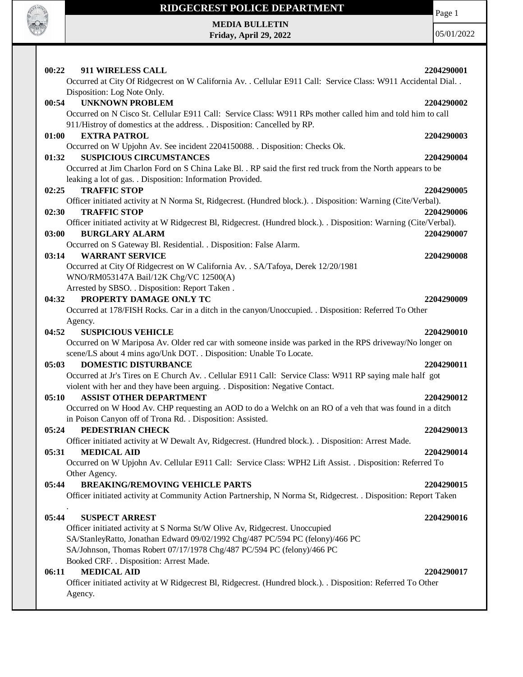

**MEDIA BULLETIN Friday, April 29, 2022** Page 1

| 00:22<br>911 WIRELESS CALL                                                                                         | 2204290001 |
|--------------------------------------------------------------------------------------------------------------------|------------|
| Occurred at City Of Ridgecrest on W California Av. . Cellular E911 Call: Service Class: W911 Accidental Dial       |            |
| Disposition: Log Note Only.                                                                                        |            |
| <b>UNKNOWN PROBLEM</b><br>00:54                                                                                    | 2204290002 |
| Occurred on N Cisco St. Cellular E911 Call: Service Class: W911 RPs mother called him and told him to call         |            |
| 911/Histroy of domestics at the address. . Disposition: Cancelled by RP.                                           |            |
| <b>EXTRA PATROL</b><br>01:00                                                                                       | 2204290003 |
| Occurred on W Upjohn Av. See incident 2204150088. . Disposition: Checks Ok.                                        |            |
| <b>SUSPICIOUS CIRCUMSTANCES</b><br>01:32                                                                           | 2204290004 |
| Occurred at Jim Charlon Ford on S China Lake Bl. . RP said the first red truck from the North appears to be        |            |
| leaking a lot of gas. . Disposition: Information Provided.                                                         |            |
| <b>TRAFFIC STOP</b><br>02:25                                                                                       | 2204290005 |
| Officer initiated activity at N Norma St, Ridgecrest. (Hundred block.). . Disposition: Warning (Cite/Verbal).      |            |
| <b>TRAFFIC STOP</b><br>02:30                                                                                       | 2204290006 |
| Officer initiated activity at W Ridgecrest Bl, Ridgecrest. (Hundred block.). . Disposition: Warning (Cite/Verbal). |            |
| 03:00<br><b>BURGLARY ALARM</b>                                                                                     | 2204290007 |
| Occurred on S Gateway Bl. Residential. . Disposition: False Alarm.                                                 |            |
| <b>WARRANT SERVICE</b><br>03:14                                                                                    | 2204290008 |
| Occurred at City Of Ridgecrest on W California Av. . SA/Tafoya, Derek 12/20/1981                                   |            |
| WNO/RM053147A Bail/12K Chg/VC 12500(A)                                                                             |            |
| Arrested by SBSO. . Disposition: Report Taken.                                                                     |            |
| PROPERTY DAMAGE ONLY TC<br>04:32                                                                                   | 2204290009 |
| Occurred at 178/FISH Rocks. Car in a ditch in the canyon/Unoccupied. . Disposition: Referred To Other              |            |
| Agency.                                                                                                            |            |
| 04:52<br><b>SUSPICIOUS VEHICLE</b>                                                                                 | 2204290010 |
| Occurred on W Mariposa Av. Older red car with someone inside was parked in the RPS driveway/No longer on           |            |
| scene/LS about 4 mins ago/Unk DOT. . Disposition: Unable To Locate.                                                |            |
| 05:03<br><b>DOMESTIC DISTURBANCE</b>                                                                               | 2204290011 |
| Occurred at Jr's Tires on E Church Av. . Cellular E911 Call: Service Class: W911 RP saying male half got           |            |
| violent with her and they have been arguing. . Disposition: Negative Contact.                                      |            |
| 05:10<br><b>ASSIST OTHER DEPARTMENT</b>                                                                            | 2204290012 |
| Occurred on W Hood Av. CHP requesting an AOD to do a Welchk on an RO of a veh that was found in a ditch            |            |
| in Poison Canyon off of Trona Rd. . Disposition: Assisted.                                                         |            |
| 05:24<br>PEDESTRIAN CHECK                                                                                          | 2204290013 |
| Officer initiated activity at W Dewalt Av, Ridgecrest. (Hundred block.). . Disposition: Arrest Made.               |            |
| 05:31<br><b>MEDICAL AID</b>                                                                                        | 2204290014 |
| Occurred on W Upjohn Av. Cellular E911 Call: Service Class: WPH2 Lift Assist. . Disposition: Referred To           |            |
| Other Agency.                                                                                                      |            |
| <b>BREAKING/REMOVING VEHICLE PARTS</b><br>05:44                                                                    | 2204290015 |
| Officer initiated activity at Community Action Partnership, N Norma St, Ridgecrest. . Disposition: Report Taken    |            |
| 05:44<br><b>SUSPECT ARREST</b>                                                                                     |            |
| Officer initiated activity at S Norma St/W Olive Av, Ridgecrest. Unoccupied                                        | 2204290016 |
| SA/StanleyRatto, Jonathan Edward 09/02/1992 Chg/487 PC/594 PC (felony)/466 PC                                      |            |
| SA/Johnson, Thomas Robert 07/17/1978 Chg/487 PC/594 PC (felony)/466 PC                                             |            |
| Booked CRF. . Disposition: Arrest Made.                                                                            |            |
| <b>MEDICAL AID</b><br>06:11                                                                                        | 2204290017 |
| Officer initiated activity at W Ridgecrest Bl, Ridgecrest. (Hundred block.). . Disposition: Referred To Other      |            |
|                                                                                                                    |            |
| Agency.                                                                                                            |            |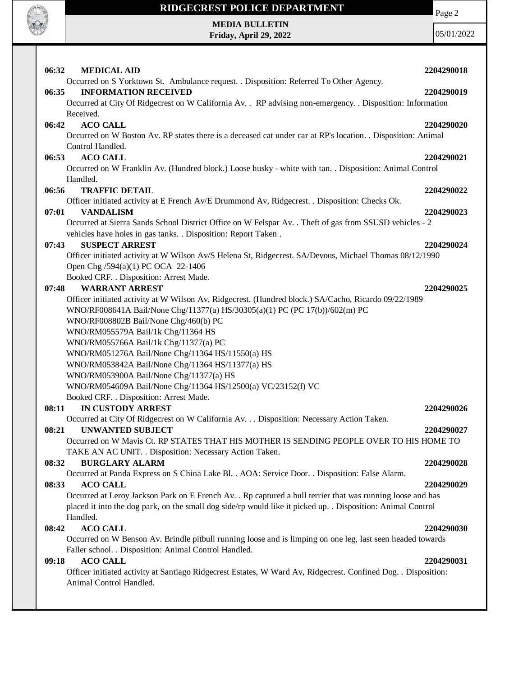

# **RIDGECREST POLICE DEPARTMENT MEDIA BULLETIN**

**Friday, April 29, 2022**

Page 2

| 06:32<br><b>MEDICAL AID</b>                                                                                    | 2204290018 |
|----------------------------------------------------------------------------------------------------------------|------------|
| Occurred on S Yorktown St. Ambulance request. . Disposition: Referred To Other Agency.                         |            |
| <b>INFORMATION RECEIVED</b><br>06:35                                                                           | 2204290019 |
| Occurred at City Of Ridgecrest on W California Av. . RP advising non-emergency. . Disposition: Information     |            |
| Received.                                                                                                      |            |
| <b>ACO CALL</b><br>06:42                                                                                       | 2204290020 |
| Occurred on W Boston Av. RP states there is a deceased cat under car at RP's location. . Disposition: Animal   |            |
| Control Handled.                                                                                               |            |
| <b>ACO CALL</b><br>06:53                                                                                       | 2204290021 |
| Occurred on W Franklin Av. (Hundred block.) Loose husky - white with tan. . Disposition: Animal Control        |            |
| Handled.                                                                                                       |            |
| 06:56<br><b>TRAFFIC DETAIL</b>                                                                                 | 2204290022 |
| Officer initiated activity at E French Av/E Drummond Av, Ridgecrest. . Disposition: Checks Ok.                 |            |
| <b>VANDALISM</b><br>07:01                                                                                      | 2204290023 |
| Occurred at Sierra Sands School District Office on W Felspar Av. . Theft of gas from SSUSD vehicles - 2        |            |
| vehicles have holes in gas tanks. . Disposition: Report Taken.                                                 |            |
| <b>SUSPECT ARREST</b><br>07:43                                                                                 | 2204290024 |
| Officer initiated activity at W Wilson Av/S Helena St, Ridgecrest. SA/Devous, Michael Thomas 08/12/1990        |            |
| Open Chg /594(a)(1) PC OCA 22-1406                                                                             |            |
| Booked CRF. . Disposition: Arrest Made.                                                                        |            |
| <b>WARRANT ARREST</b><br>07:48                                                                                 | 2204290025 |
| Officer initiated activity at W Wilson Av, Ridgecrest. (Hundred block.) SA/Cacho, Ricardo 09/22/1989           |            |
| WNO/RF008641A Bail/None Chg/11377(a) HS/30305(a)(1) PC (PC 17(b))/602(m) PC                                    |            |
| WNO/RF008802B Bail/None Chg/460(b) PC                                                                          |            |
| WNO/RM055579A Bail/1k Chg/11364 HS                                                                             |            |
| WNO/RM055766A Bail/1k Chg/11377(a) PC                                                                          |            |
| WNO/RM051276A Bail/None Chg/11364 HS/11550(a) HS                                                               |            |
| WNO/RM053842A Bail/None Chg/11364 HS/11377(a) HS                                                               |            |
| WNO/RM053900A Bail/None Chg/11377(a) HS                                                                        |            |
| WNO/RM054609A Bail/None Chg/11364 HS/12500(a) VC/23152(f) VC                                                   |            |
| Booked CRF. . Disposition: Arrest Made.                                                                        |            |
| <b>IN CUSTODY ARREST</b><br>08:11                                                                              | 2204290026 |
| Occurred at City Of Ridgecrest on W California Av. Disposition: Necessary Action Taken.                        |            |
| 08:21<br><b>UNWANTED SUBJECT</b>                                                                               | 2204290027 |
| Occurred on W Mavis Ct. RP STATES THAT HIS MOTHER IS SENDING PEOPLE OVER TO HIS HOME TO                        |            |
| TAKE AN AC UNIT. . Disposition: Necessary Action Taken.                                                        |            |
| 08:32<br><b>BURGLARY ALARM</b>                                                                                 | 2204290028 |
| Occurred at Panda Express on S China Lake Bl. . AOA: Service Door. . Disposition: False Alarm.                 |            |
| <b>ACO CALL</b><br>08:33                                                                                       | 2204290029 |
| Occurred at Leroy Jackson Park on E French Av. . Rp captured a bull terrier that was running loose and has     |            |
| placed it into the dog park, on the small dog side/rp would like it picked up. . Disposition: Animal Control   |            |
| Handled.                                                                                                       |            |
| <b>ACO CALL</b><br>08:42                                                                                       | 2204290030 |
| Occurred on W Benson Av. Brindle pitbull running loose and is limping on one leg, last seen headed towards     |            |
| Faller school. . Disposition: Animal Control Handled.                                                          |            |
| <b>ACO CALL</b><br>09:18                                                                                       | 2204290031 |
| Officer initiated activity at Santiago Ridgecrest Estates, W Ward Av, Ridgecrest. Confined Dog. . Disposition: |            |
| Animal Control Handled.                                                                                        |            |
|                                                                                                                |            |
|                                                                                                                |            |
|                                                                                                                |            |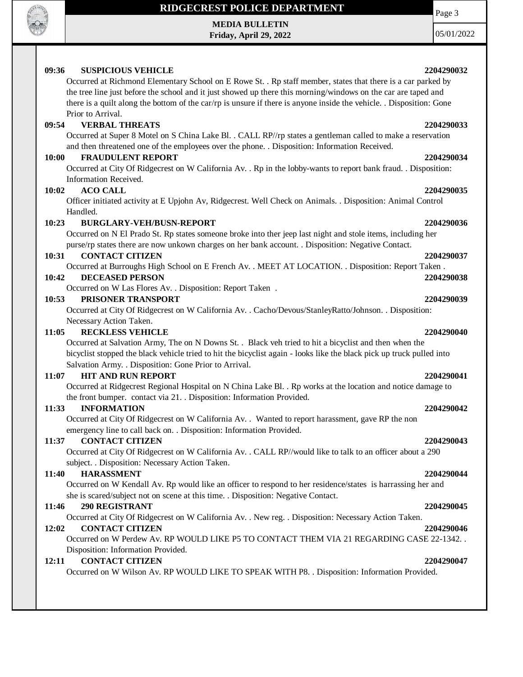

**MEDIA BULLETIN Friday, April 29, 2022**

05/01/2022

### **09:36 SUSPICIOUS VEHICLE 2204290032** Occurred at Richmond Elementary School on E Rowe St. . Rp staff member, states that there is a car parked by the tree line just before the school and it just showed up there this morning/windows on the car are taped and there is a quilt along the bottom of the car/rp is unsure if there is anyone inside the vehicle. . Disposition: Gone Prior to Arrival. **09:54 VERBAL THREATS 2204290033** Occurred at Super 8 Motel on S China Lake Bl. . CALL RP//rp states a gentleman called to make a reservation and then threatened one of the employees over the phone. . Disposition: Information Received. **10:00 FRAUDULENT REPORT 2204290034** Occurred at City Of Ridgecrest on W California Av. . Rp in the lobby-wants to report bank fraud. . Disposition: Information Received. **10:02 ACO CALL 2204290035** Officer initiated activity at E Upjohn Av, Ridgecrest. Well Check on Animals. . Disposition: Animal Control Handled. **10:23 BURGLARY-VEH/BUSN-REPORT 2204290036** Occurred on N El Prado St. Rp states someone broke into ther jeep last night and stole items, including her purse/rp states there are now unkown charges on her bank account. . Disposition: Negative Contact. **10:31 CONTACT CITIZEN 2204290037** Occurred at Burroughs High School on E French Av. . MEET AT LOCATION. . Disposition: Report Taken . **10:42 DECEASED PERSON 2204290038** Occurred on W Las Flores Av. . Disposition: Report Taken . **10:53 PRISONER TRANSPORT 2204290039** Occurred at City Of Ridgecrest on W California Av. . Cacho/Devous/StanleyRatto/Johnson. . Disposition: Necessary Action Taken. **11:05 RECKLESS VEHICLE 2204290040** Occurred at Salvation Army, The on N Downs St. . Black veh tried to hit a bicyclist and then when the bicyclist stopped the black vehicle tried to hit the bicyclist again - looks like the black pick up truck pulled into Salvation Army. . Disposition: Gone Prior to Arrival. **11:07 HIT AND RUN REPORT 2204290041** Occurred at Ridgecrest Regional Hospital on N China Lake Bl. . Rp works at the location and notice damage to the front bumper. contact via 21. . Disposition: Information Provided. **11:33 INFORMATION 2204290042** Occurred at City Of Ridgecrest on W California Av. . Wanted to report harassment, gave RP the non emergency line to call back on. . Disposition: Information Provided. **11:37 CONTACT CITIZEN 2204290043** Occurred at City Of Ridgecrest on W California Av. . CALL RP//would like to talk to an officer about a 290 subject. . Disposition: Necessary Action Taken. **11:40 HARASSMENT 2204290044** Occurred on W Kendall Av. Rp would like an officer to respond to her residence/states is harrassing her and she is scared/subject not on scene at this time. . Disposition: Negative Contact. **11:46 290 REGISTRANT 2204290045** Occurred at City Of Ridgecrest on W California Av. . New reg. . Disposition: Necessary Action Taken. **12:02 CONTACT CITIZEN 2204290046** Occurred on W Perdew Av. RP WOULD LIKE P5 TO CONTACT THEM VIA 21 REGARDING CASE 22-1342. . Disposition: Information Provided. **12:11 CONTACT CITIZEN 2204290047** Occurred on W Wilson Av. RP WOULD LIKE TO SPEAK WITH P8. . Disposition: Information Provided.



Page 3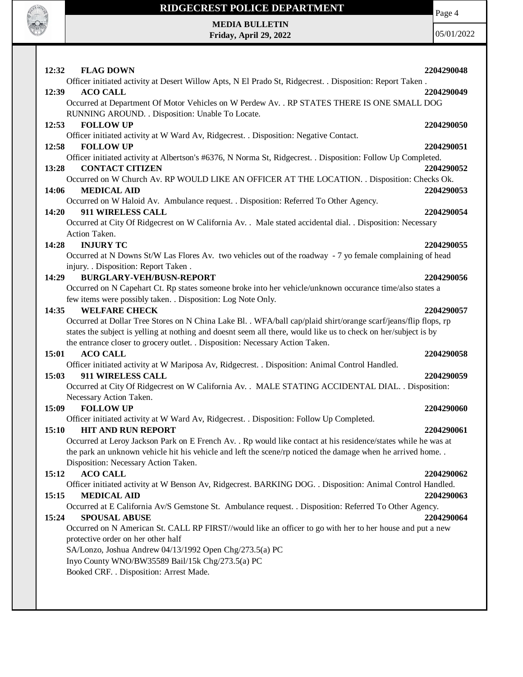

Page 4

**MEDIA BULLETIN Friday, April 29, 2022**

| 12:32<br><b>FLAG DOWN</b>                                                                                                                            | 2204290048 |
|------------------------------------------------------------------------------------------------------------------------------------------------------|------------|
| Officer initiated activity at Desert Willow Apts, N El Prado St, Ridgecrest. . Disposition: Report Taken.                                            |            |
| <b>ACO CALL</b><br>12:39                                                                                                                             | 2204290049 |
| Occurred at Department Of Motor Vehicles on W Perdew Av. . RP STATES THERE IS ONE SMALL DOG                                                          |            |
| RUNNING AROUND. . Disposition: Unable To Locate.                                                                                                     |            |
| <b>FOLLOW UP</b><br>12:53                                                                                                                            | 2204290050 |
| Officer initiated activity at W Ward Av, Ridgecrest. . Disposition: Negative Contact.                                                                |            |
| <b>FOLLOW UP</b><br>12:58                                                                                                                            | 2204290051 |
| Officer initiated activity at Albertson's #6376, N Norma St, Ridgecrest. . Disposition: Follow Up Completed.                                         |            |
| <b>CONTACT CITIZEN</b><br>13:28                                                                                                                      | 2204290052 |
| Occurred on W Church Av. RP WOULD LIKE AN OFFICER AT THE LOCATION. . Disposition: Checks Ok.                                                         |            |
| 14:06<br><b>MEDICAL AID</b>                                                                                                                          | 2204290053 |
| Occurred on W Haloid Av. Ambulance request. . Disposition: Referred To Other Agency.                                                                 |            |
| 911 WIRELESS CALL<br>14:20                                                                                                                           | 2204290054 |
| Occurred at City Of Ridgecrest on W California Av. . Male stated accidental dial. . Disposition: Necessary                                           |            |
| Action Taken.                                                                                                                                        |            |
| <b>INJURY TC</b><br>14:28                                                                                                                            | 2204290055 |
| Occurred at N Downs St/W Las Flores Av. two vehicles out of the roadway - 7 yo female complaining of head                                            |            |
| injury. . Disposition: Report Taken.                                                                                                                 |            |
| <b>BURGLARY-VEH/BUSN-REPORT</b><br>14:29                                                                                                             | 2204290056 |
| Occurred on N Capehart Ct. Rp states someone broke into her vehicle/unknown occurance time/also states a                                             |            |
| few items were possibly taken. . Disposition: Log Note Only.                                                                                         |            |
| <b>WELFARE CHECK</b><br>14:35                                                                                                                        | 2204290057 |
| Occurred at Dollar Tree Stores on N China Lake Bl. . WFA/ball cap/plaid shirt/orange scarf/jeans/flip flops, rp                                      |            |
| states the subject is yelling at nothing and doesnt seem all there, would like us to check on her/subject is by                                      |            |
| the entrance closer to grocery outlet. . Disposition: Necessary Action Taken.                                                                        |            |
| <b>ACO CALL</b><br>15:01                                                                                                                             | 2204290058 |
| Officer initiated activity at W Mariposa Av, Ridgecrest. . Disposition: Animal Control Handled.                                                      |            |
| 911 WIRELESS CALL<br>15:03                                                                                                                           | 2204290059 |
| Occurred at City Of Ridgecrest on W California Av. . MALE STATING ACCIDENTAL DIAL. . Disposition:                                                    |            |
| Necessary Action Taken.                                                                                                                              |            |
| 15:09<br><b>FOLLOW UP</b>                                                                                                                            | 2204290060 |
| Officer initiated activity at W Ward Av, Ridgecrest. . Disposition: Follow Up Completed.                                                             |            |
| 15:10<br><b>HIT AND RUN REPORT</b><br>Occurred at Leroy Jackson Park on E French Av. . Rp would like contact at his residence/states while he was at | 2204290061 |
| the park an unknown vehicle hit his vehicle and left the scene/rp noticed the damage when he arrived home                                            |            |
| Disposition: Necessary Action Taken.                                                                                                                 |            |
| <b>ACO CALL</b><br>15:12                                                                                                                             | 2204290062 |
| Officer initiated activity at W Benson Av, Ridgecrest. BARKING DOG. . Disposition: Animal Control Handled.                                           |            |
| 15:15<br><b>MEDICAL AID</b>                                                                                                                          | 2204290063 |
| Occurred at E California Av/S Gemstone St. Ambulance request. . Disposition: Referred To Other Agency.                                               |            |
| 15:24<br><b>SPOUSAL ABUSE</b>                                                                                                                        | 2204290064 |
| Occurred on N American St. CALL RP FIRST//would like an officer to go with her to her house and put a new                                            |            |
| protective order on her other half                                                                                                                   |            |
| SA/Lonzo, Joshua Andrew 04/13/1992 Open Chg/273.5(a) PC                                                                                              |            |
| Inyo County WNO/BW35589 Bail/15k Chg/273.5(a) PC                                                                                                     |            |
| Booked CRF. . Disposition: Arrest Made.                                                                                                              |            |
|                                                                                                                                                      |            |
|                                                                                                                                                      |            |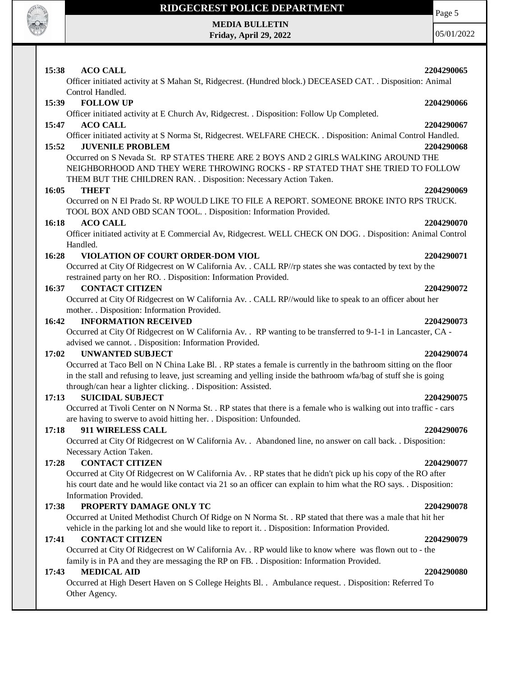

## **RIDGECREST POLICE DEPARTMENT MEDIA BULLETIN**

**Friday, April 29, 2022**

Page 5

| 15:38<br><b>ACO CALL</b>                                                                                                                                                                                                                                     | 2204290065 |
|--------------------------------------------------------------------------------------------------------------------------------------------------------------------------------------------------------------------------------------------------------------|------------|
| Officer initiated activity at S Mahan St, Ridgecrest. (Hundred block.) DECEASED CAT. . Disposition: Animal<br>Control Handled.                                                                                                                               |            |
| <b>FOLLOW UP</b><br>15:39                                                                                                                                                                                                                                    | 2204290066 |
| Officer initiated activity at E Church Av, Ridgecrest. . Disposition: Follow Up Completed.                                                                                                                                                                   |            |
| 15:47<br><b>ACO CALL</b>                                                                                                                                                                                                                                     | 2204290067 |
| Officer initiated activity at S Norma St, Ridgecrest. WELFARE CHECK. . Disposition: Animal Control Handled.                                                                                                                                                  |            |
| 15:52<br><b>JUVENILE PROBLEM</b>                                                                                                                                                                                                                             | 2204290068 |
| Occurred on S Nevada St. RP STATES THERE ARE 2 BOYS AND 2 GIRLS WALKING AROUND THE<br>NEIGHBORHOOD AND THEY WERE THROWING ROCKS - RP STATED THAT SHE TRIED TO FOLLOW<br>THEM BUT THE CHILDREN RAN. . Disposition: Necessary Action Taken.                    |            |
| <b>THEFT</b><br>16:05                                                                                                                                                                                                                                        | 2204290069 |
| Occurred on N El Prado St. RP WOULD LIKE TO FILE A REPORT. SOMEONE BROKE INTO RPS TRUCK.                                                                                                                                                                     |            |
| TOOL BOX AND OBD SCAN TOOL. . Disposition: Information Provided.                                                                                                                                                                                             |            |
| <b>ACO CALL</b><br>16:18                                                                                                                                                                                                                                     | 2204290070 |
| Officer initiated activity at E Commercial Av, Ridgecrest. WELL CHECK ON DOG. . Disposition: Animal Control                                                                                                                                                  |            |
| Handled.                                                                                                                                                                                                                                                     |            |
| 16:28<br>VIOLATION OF COURT ORDER-DOM VIOL                                                                                                                                                                                                                   | 2204290071 |
| Occurred at City Of Ridgecrest on W California Av. . CALL RP//rp states she was contacted by text by the                                                                                                                                                     |            |
| restrained party on her RO. . Disposition: Information Provided.                                                                                                                                                                                             |            |
| <b>CONTACT CITIZEN</b><br>16:37                                                                                                                                                                                                                              | 2204290072 |
| Occurred at City Of Ridgecrest on W California Av. . CALL RP//would like to speak to an officer about her                                                                                                                                                    |            |
| mother. . Disposition: Information Provided.                                                                                                                                                                                                                 |            |
| 16:42<br><b>INFORMATION RECEIVED</b>                                                                                                                                                                                                                         | 2204290073 |
| Occurred at City Of Ridgecrest on W California Av. . RP wanting to be transferred to 9-1-1 in Lancaster, CA -<br>advised we cannot. . Disposition: Information Provided.                                                                                     |            |
| <b>UNWANTED SUBJECT</b><br>17:02                                                                                                                                                                                                                             | 2204290074 |
| Occurred at Taco Bell on N China Lake Bl. . RP states a female is currently in the bathroom sitting on the floor                                                                                                                                             |            |
| in the stall and refusing to leave, just screaming and yelling inside the bathroom wfa/bag of stuff she is going<br>through/can hear a lighter clicking. . Disposition: Assisted.                                                                            |            |
| <b>SUICIDAL SUBJECT</b><br>17:13                                                                                                                                                                                                                             | 2204290075 |
| Occurred at Tivoli Center on N Norma St. . RP states that there is a female who is walking out into traffic - cars<br>are having to swerve to avoid hitting her. . Disposition: Unfounded.                                                                   |            |
| 17:18<br>911 WIRELESS CALL                                                                                                                                                                                                                                   | 2204290076 |
| Occurred at City Of Ridgecrest on W California Av. . Abandoned line, no answer on call back. . Disposition:<br>Necessary Action Taken.                                                                                                                       |            |
| 17:28<br><b>CONTACT CITIZEN</b>                                                                                                                                                                                                                              | 2204290077 |
| Occurred at City Of Ridgecrest on W California Av. . RP states that he didn't pick up his copy of the RO after<br>his court date and he would like contact via 21 so an officer can explain to him what the RO says. . Disposition:<br>Information Provided. |            |
| 17:38<br>PROPERTY DAMAGE ONLY TC                                                                                                                                                                                                                             | 2204290078 |
| Occurred at United Methodist Church Of Ridge on N Norma St. . RP stated that there was a male that hit her<br>vehicle in the parking lot and she would like to report it. . Disposition: Information Provided.                                               |            |
| <b>CONTACT CITIZEN</b><br>17:41                                                                                                                                                                                                                              | 2204290079 |
| Occurred at City Of Ridgecrest on W California Av. . RP would like to know where was flown out to - the<br>family is in PA and they are messaging the RP on FB. . Disposition: Information Provided.                                                         |            |
| <b>MEDICAL AID</b><br>17:43                                                                                                                                                                                                                                  | 2204290080 |
| Occurred at High Desert Haven on S College Heights Bl. . Ambulance request. . Disposition: Referred To<br>Other Agency.                                                                                                                                      |            |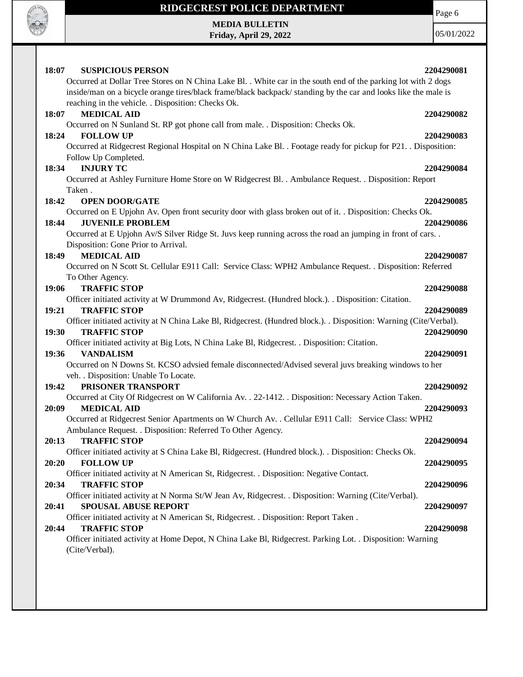

**MEDIA BULLETIN Friday, April 29, 2022** Page 6

| 18:07<br><b>SUSPICIOUS PERSON</b>                                                                                  | 2204290081 |
|--------------------------------------------------------------------------------------------------------------------|------------|
| Occurred at Dollar Tree Stores on N China Lake Bl. . White car in the south end of the parking lot with 2 dogs     |            |
| inside/man on a bicycle orange tires/black frame/black backpack/ standing by the car and looks like the male is    |            |
| reaching in the vehicle. . Disposition: Checks Ok.                                                                 |            |
| <b>MEDICAL AID</b><br>18:07                                                                                        | 2204290082 |
| Occurred on N Sunland St. RP got phone call from male. . Disposition: Checks Ok.                                   |            |
| 18:24<br><b>FOLLOW UP</b>                                                                                          | 2204290083 |
| Occurred at Ridgecrest Regional Hospital on N China Lake Bl. . Footage ready for pickup for P21. . Disposition:    |            |
| Follow Up Completed.                                                                                               |            |
| <b>INJURY TC</b><br>18:34                                                                                          | 2204290084 |
| Occurred at Ashley Furniture Home Store on W Ridgecrest Bl. . Ambulance Request. . Disposition: Report             |            |
| Taken.                                                                                                             |            |
| 18:42<br><b>OPEN DOOR/GATE</b>                                                                                     | 2204290085 |
| Occurred on E Upjohn Av. Open front security door with glass broken out of it. . Disposition: Checks Ok.           |            |
| <b>JUVENILE PROBLEM</b><br>18:44                                                                                   | 2204290086 |
| Occurred at E Upjohn Av/S Silver Ridge St. Juvs keep running across the road an jumping in front of cars           |            |
| Disposition: Gone Prior to Arrival.                                                                                |            |
| <b>MEDICAL AID</b><br>18:49                                                                                        | 2204290087 |
| Occurred on N Scott St. Cellular E911 Call: Service Class: WPH2 Ambulance Request. . Disposition: Referred         |            |
| To Other Agency.                                                                                                   |            |
| <b>TRAFFIC STOP</b><br>19:06                                                                                       | 2204290088 |
| Officer initiated activity at W Drummond Av, Ridgecrest. (Hundred block.). . Disposition: Citation.                |            |
| 19:21<br><b>TRAFFIC STOP</b>                                                                                       | 2204290089 |
| Officer initiated activity at N China Lake Bl, Ridgecrest. (Hundred block.). . Disposition: Warning (Cite/Verbal). |            |
| 19:30<br><b>TRAFFIC STOP</b>                                                                                       | 2204290090 |
| Officer initiated activity at Big Lots, N China Lake Bl, Ridgecrest. . Disposition: Citation.                      |            |
| 19:36<br><b>VANDALISM</b>                                                                                          | 2204290091 |
| Occurred on N Downs St. KCSO advsied female disconnected/Advised several juvs breaking windows to her              |            |
| veh. . Disposition: Unable To Locate.<br>PRISONER TRANSPORT<br>19:42                                               | 2204290092 |
| Occurred at City Of Ridgecrest on W California Av. . 22-1412. . Disposition: Necessary Action Taken.               |            |
| 20:09<br><b>MEDICAL AID</b>                                                                                        | 2204290093 |
| Occurred at Ridgecrest Senior Apartments on W Church Av. . Cellular E911 Call: Service Class: WPH2                 |            |
| Ambulance Request. . Disposition: Referred To Other Agency.                                                        |            |
| <b>TRAFFIC STOP</b><br>20:13                                                                                       | 2204290094 |
| Officer initiated activity at S China Lake Bl, Ridgecrest. (Hundred block.). . Disposition: Checks Ok.             |            |
| <b>FOLLOW UP</b><br>20:20                                                                                          | 2204290095 |
| Officer initiated activity at N American St, Ridgecrest. . Disposition: Negative Contact.                          |            |
| <b>TRAFFIC STOP</b><br>20:34                                                                                       | 2204290096 |
| Officer initiated activity at N Norma St/W Jean Av, Ridgecrest. . Disposition: Warning (Cite/Verbal).              |            |
| SPOUSAL ABUSE REPORT<br>20:41                                                                                      | 2204290097 |
| Officer initiated activity at N American St, Ridgecrest. . Disposition: Report Taken.                              |            |
| <b>TRAFFIC STOP</b><br>20:44                                                                                       | 2204290098 |
| Officer initiated activity at Home Depot, N China Lake Bl, Ridgecrest. Parking Lot. . Disposition: Warning         |            |
| (Cite/Verbal).                                                                                                     |            |
|                                                                                                                    |            |